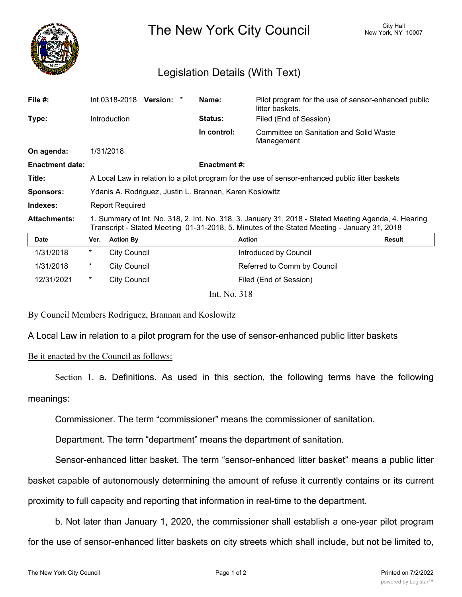

The New York City Council New York, NY 10007

## Legislation Details (With Text)

| File $#$ :             |                                                                                                                                                                                                     |                     | Int 0318-2018 Version: * | Name:          | Pilot program for the use of sensor-enhanced public<br>litter baskets. |               |
|------------------------|-----------------------------------------------------------------------------------------------------------------------------------------------------------------------------------------------------|---------------------|--------------------------|----------------|------------------------------------------------------------------------|---------------|
| Type:                  |                                                                                                                                                                                                     | <b>Introduction</b> |                          | <b>Status:</b> | Filed (End of Session)                                                 |               |
|                        |                                                                                                                                                                                                     |                     |                          | In control:    | Committee on Sanitation and Solid Waste<br>Management                  |               |
| On agenda:             |                                                                                                                                                                                                     | 1/31/2018           |                          |                |                                                                        |               |
| <b>Enactment date:</b> | <b>Enactment #:</b>                                                                                                                                                                                 |                     |                          |                |                                                                        |               |
| Title:                 | A Local Law in relation to a pilot program for the use of sensor-enhanced public litter baskets                                                                                                     |                     |                          |                |                                                                        |               |
| <b>Sponsors:</b>       | Ydanis A. Rodriguez, Justin L. Brannan, Karen Koslowitz                                                                                                                                             |                     |                          |                |                                                                        |               |
| Indexes:               | <b>Report Required</b>                                                                                                                                                                              |                     |                          |                |                                                                        |               |
| <b>Attachments:</b>    | 1. Summary of Int. No. 318, 2. Int. No. 318, 3. January 31, 2018 - Stated Meeting Agenda, 4. Hearing<br>Transcript - Stated Meeting 01-31-2018, 5. Minutes of the Stated Meeting - January 31, 2018 |                     |                          |                |                                                                        |               |
| <b>Date</b>            | Ver.                                                                                                                                                                                                | <b>Action By</b>    |                          |                | <b>Action</b>                                                          | <b>Result</b> |
| 1/31/2018              | $^\ast$                                                                                                                                                                                             | <b>City Council</b> |                          |                | Introduced by Council                                                  |               |
| 1/31/2018              | $\ast$                                                                                                                                                                                              | <b>City Council</b> |                          |                | Referred to Comm by Council                                            |               |
| 12/31/2021             | $\ast$                                                                                                                                                                                              | <b>City Council</b> |                          |                | Filed (End of Session)                                                 |               |
|                        |                                                                                                                                                                                                     |                     |                          |                |                                                                        |               |

Int. No. 318

By Council Members Rodriguez, Brannan and Koslowitz

A Local Law in relation to a pilot program for the use of sensor-enhanced public litter baskets

Be it enacted by the Council as follows:

Section 1. a. Definitions. As used in this section, the following terms have the following meanings:

Commissioner. The term "commissioner" means the commissioner of sanitation.

Department. The term "department" means the department of sanitation.

Sensor-enhanced litter basket. The term "sensor-enhanced litter basket" means a public litter

basket capable of autonomously determining the amount of refuse it currently contains or its current proximity to full capacity and reporting that information in real-time to the department.

b. Not later than January 1, 2020, the commissioner shall establish a one-year pilot program for the use of sensor-enhanced litter baskets on city streets which shall include, but not be limited to,